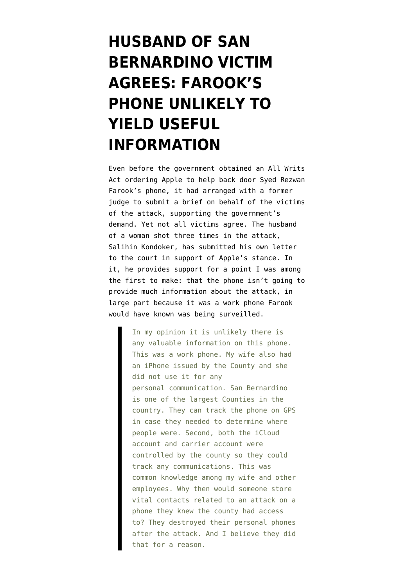## **[HUSBAND OF SAN](https://www.emptywheel.net/2016/03/03/husband-of-san-bernardino-victim-agrees-farooks-phone-unlikely-to-yield-useful-information/) [BERNARDINO VICTIM](https://www.emptywheel.net/2016/03/03/husband-of-san-bernardino-victim-agrees-farooks-phone-unlikely-to-yield-useful-information/) [AGREES: FAROOK'S](https://www.emptywheel.net/2016/03/03/husband-of-san-bernardino-victim-agrees-farooks-phone-unlikely-to-yield-useful-information/) [PHONE UNLIKELY TO](https://www.emptywheel.net/2016/03/03/husband-of-san-bernardino-victim-agrees-farooks-phone-unlikely-to-yield-useful-information/) [YIELD USEFUL](https://www.emptywheel.net/2016/03/03/husband-of-san-bernardino-victim-agrees-farooks-phone-unlikely-to-yield-useful-information/) [INFORMATION](https://www.emptywheel.net/2016/03/03/husband-of-san-bernardino-victim-agrees-farooks-phone-unlikely-to-yield-useful-information/)**

Even before the government obtained an All Writs Act ordering Apple to help back door Syed Rezwan Farook's phone, it had arranged with a former judge to submit a brief on behalf of the victims of the attack, supporting the government's demand. Yet not all victims agree. The husband of a woman shot three times in the attack, Salihin Kondoker, has submitted [his own letter](https://www.apple.com/pr/pdf/Letter_from_Salihin_Kondoker.pdf) to the court in support of Apple's stance. In it, he provides support for a point I was [among](http://www.slate.com/articles/technology/future_tense/2016/02/the_apple_fbi_encryption_battle_is_over_an_iphone_unlikely_to_yield_critical.html) [the first to make:](http://www.slate.com/articles/technology/future_tense/2016/02/the_apple_fbi_encryption_battle_is_over_an_iphone_unlikely_to_yield_critical.html) that the phone isn't going to provide much information about the attack, in large part because it was a work phone Farook would have known was being surveilled.

> In my opinion it is unlikely there is any valuable information on this phone. This was a work phone. My wife also had an iPhone issued by the County and she did not use it for any personal communication. San Bernardino is one of the largest Counties in the country. They can track the phone on GPS in case they needed to determine where people were. Second, both the iCloud account and carrier account were controlled by the county so they could track any communications. This was common knowledge among my wife and other employees. Why then would someone store vital contacts related to an attack on a phone they knew the county had access to? They destroyed their personal phones after the attack. And I believe they did that for a reason.